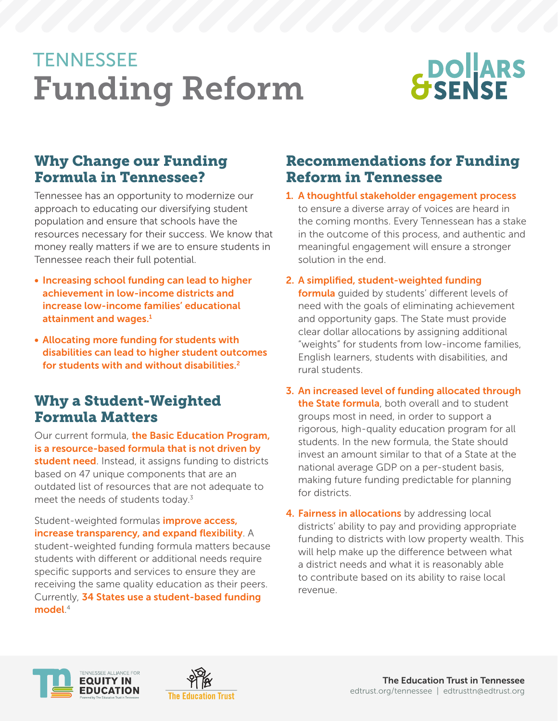# **TENNESSEE** Funding Reform

# **BOLARS**

# Why Change our Funding Formula in Tennessee?

Tennessee has an opportunity to modernize our approach to educating our diversifying student population and ensure that schools have the resources necessary for their success. We know that money really matters if we are to ensure students in Tennessee reach their full potential.

- Increasing school funding can lead to higher achievement in low-income districts and increase low-income families' educational attainment and wages. $1$
- Allocating more funding for students with disabilities can lead to higher student outcomes for students with and without disabilities.2

# Why a Student-Weighted Formula Matters

Our current formula, the Basic Education Program, is a resource-based formula that is not driven by student need. Instead, it assigns funding to districts based on 47 unique components that are an outdated list of resources that are not adequate to meet the needs of students today. $3$ 

Student-weighted formulas *improve access*, increase transparency, and expand flexibility. A student-weighted funding formula matters because students with different or additional needs require specific supports and services to ensure they are receiving the same quality education as their peers. Currently, 34 States use a student-based funding model. 4

# Recommendations for Funding Reform in Tennessee

- 1. A thoughtful stakeholder engagement process to ensure a diverse array of voices are heard in the coming months. Every Tennessean has a stake in the outcome of this process, and authentic and meaningful engagement will ensure a stronger solution in the end.
- 2. A simplified, student-weighted funding formula guided by students' different levels of need with the goals of eliminating achievement and opportunity gaps. The State must provide clear dollar allocations by assigning additional "weights" for students from low-income families, English learners, students with disabilities, and rural students.
- 3. An increased level of funding allocated through the State formula, both overall and to student groups most in need, in order to support a rigorous, high-quality education program for all students. In the new formula, the State should invest an amount similar to that of a State at the national average GDP on a per-student basis, making future funding predictable for planning for districts.
- 4. Fairness in allocations by addressing local districts' ability to pay and providing appropriate funding to districts with low property wealth. This will help make up the difference between what a district needs and what it is reasonably able to contribute based on its ability to raise local revenue.